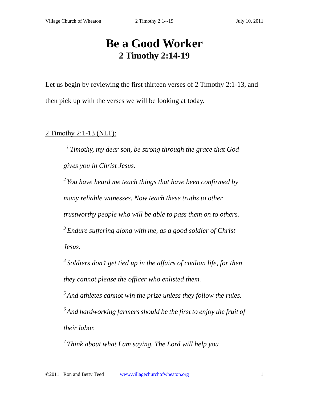# **Be a Good Worker 2 Timothy 2:14-19**

Let us begin by reviewing the first thirteen verses of 2 Timothy 2:1-13, and then pick up with the verses we will be looking at today.

## 2 Timothy 2:1-13 (NLT):

*1 Timothy, my dear son, be strong through the grace that God gives you in Christ Jesus.* 

*2 You have heard me teach things that have been confirmed by many reliable witnesses. Now teach these truths to other trustworthy people who will be able to pass them on to others. 3 Endure suffering along with me, as a good soldier of Christ Jesus.* 

*4 Soldiers don't get tied up in the affairs of civilian life, for then they cannot please the officer who enlisted them.* 

*5 And athletes cannot win the prize unless they follow the rules. 6 And hardworking farmers should be the first to enjoy the fruit of their labor.* 

*7 Think about what I am saying. The Lord will help you*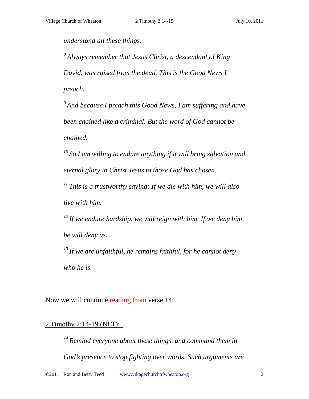*understand all these things.* 

*8 Always remember that Jesus Christ, a descendant of King David, was raised from the dead. This is the Good News I preach.* 

*9 And because I preach this Good News, I am suffering and have been chained like a criminal. But the word of God cannot be chained.* 

*10 So I am willing to endure anything if it will bring salvation and eternal glory in Christ Jesus to those God has chosen.* 

*11 This is a trustworthy saying: If we die with him, we will also live with him.* 

*12 If we endure hardship, we will reign with him. If we deny him, he will deny us.* 

*13 If we are unfaithful, he remains faithful, for he cannot deny who he is.* 

Now we will continue reading from verse 14:

## 2 Timothy 2:14-19 (NLT):

*14 Remind everyone about these things, and command them in God's presence to stop fighting over words. Such arguments are*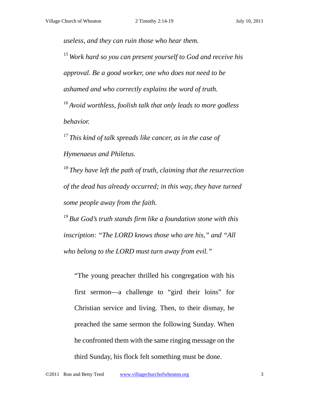*useless, and they can ruin those who hear them.* 

*15 Work hard so you can present yourself to God and receive his approval. Be a good worker, one who does not need to be ashamed and who correctly explains the word of truth. 16 Avoid worthless, foolish talk that only leads to more godless behavior.* 

*17 This kind of talk spreads like cancer, as in the case of Hymenaeus and Philetus.* 

*18 They have left the path of truth, claiming that the resurrection of the dead has already occurred; in this way, they have turned some people away from the faith.* 

*19 But God's truth stands firm like a foundation stone with this inscription: "The LORD knows those who are his," and "All who belong to the LORD must turn away from evil."* 

"The young preacher thrilled his congregation with his first sermon—a challenge to "gird their loins" for Christian service and living. Then, to their dismay, he preached the same sermon the following Sunday. When he confronted them with the same ringing message on the third Sunday, his flock felt something must be done.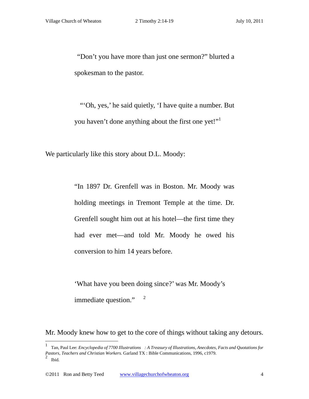"Don't you have more than just one sermon?" blurted a spokesman to the pastor.

 "'Oh, yes,' he said quietly, 'I have quite a number. But you haven't done anything about the first one yet!"<sup>1</sup>

We particularly like this story about D.L. Moody:

"In 1897 Dr. Grenfell was in Boston. Mr. Moody was holding meetings in Tremont Temple at the time. Dr. Grenfell sought him out at his hotel—the first time they had ever met—and told Mr. Moody he owed his conversion to him 14 years before.

'What have you been doing since?' was Mr. Moody's immediate question." $2^2$ 

Mr. Moody knew how to get to the core of things without taking any detours.

<sup>1</sup> Tan, Paul Lee: *Encyclopedia of 7700 Illustrations : A Treasury of Illustrations, Anecdotes, Facts and Quotations for Pastors, Teachers and Christian Workers.* Garland TX : Bible Communications, 1996, c1979.  $<sup>2</sup>$  Ibid.</sup>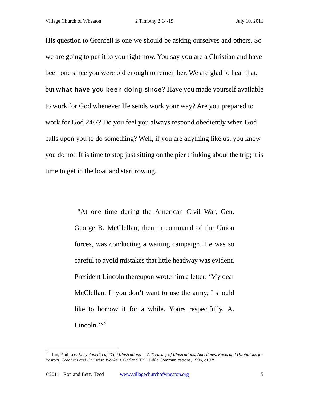His question to Grenfell is one we should be asking ourselves and others. So we are going to put it to you right now. You say you are a Christian and have been one since you were old enough to remember. We are glad to hear that, but what have you been doing since? Have you made yourself available to work for God whenever He sends work your way? Are you prepared to work for God 24/7? Do you feel you always respond obediently when God calls upon you to do something? Well, if you are anything like us, you know you do not. It is time to stop just sitting on the pier thinking about the trip; it is time to get in the boat and start rowing.

> "At one time during the American Civil War, Gen. George B. McClellan, then in command of the Union forces, was conducting a waiting campaign. He was so careful to avoid mistakes that little headway was evident. President Lincoln thereupon wrote him a letter: 'My dear McClellan: If you don't want to use the army, I should like to borrow it for a while. Yours respectfully, A. Lincoln."<sup>3</sup>

<sup>3</sup> Tan, Paul Lee: *Encyclopedia of 7700 Illustrations : A Treasury of Illustrations, Anecdotes, Facts and Quotations for Pastors, Teachers and Christian Workers*. Garland TX : Bible Communications, 1996, c1979.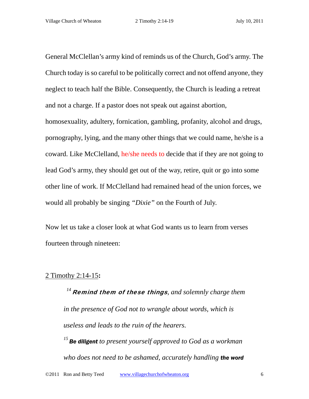General McClellan's army kind of reminds us of the Church, God's army. The Church today is so careful to be politically correct and not offend anyone, they neglect to teach half the Bible. Consequently, the Church is leading a retreat and not a charge. If a pastor does not speak out against abortion, homosexuality, adultery, fornication, gambling, profanity, alcohol and drugs, pornography, lying, and the many other things that we could name, he/she is a coward. Like McClelland, he/she needs to decide that if they are not going to lead God's army, they should get out of the way, retire, quit or go into some other line of work. If McClelland had remained head of the union forces, we would all probably be singing *"Dixie"* on the Fourth of July.

Now let us take a closer look at what God wants us to learn from verses fourteen through nineteen:

## 2 Timothy 2:14-15**:**

<sup>14</sup> Remind them of these things, and solemnly charge them *in the presence of God not to wrangle about words, which is useless and leads to the ruin of the hearers.* 

*<sup>15</sup>Be diligent to present yourself approved to God as a workman who does not need to be ashamed, accurately handling the word*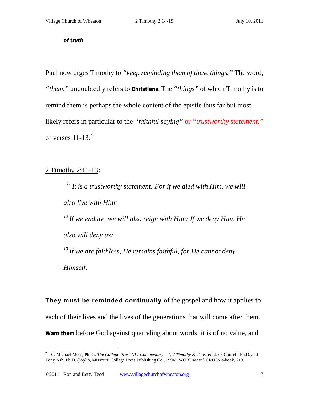#### *of truth.*

Paul now urges Timothy to *"keep reminding them of these things."* The word, *"them,"* undoubtedly refers to Christians. The *"things"* of which Timothy is to remind them is perhaps the whole content of the epistle thus far but most likely refers in particular to the *"faithful saying"* or *"trustworthy statement,"* of verses  $11-13.<sup>4</sup>$ 

## 2 Timothy 2:11-13**:**

 $\overline{a}$ 

*11 It is a trustworthy statement: For if we died with Him, we will also live with Him; 12 If we endure, we will also reign with Him; If we deny Him, He also will deny us; 13 If we are faithless, He remains faithful, for He cannot deny Himself.* 

They must be reminded continually of the gospel and how it applies to each of their lives and the lives of the generations that will come after them. Warn them before God against quarreling about words; it is of no value, and

<sup>4</sup> C. Michael Moss, Ph.D., *The College Press NIV Commentary – 1, 2 Timothy & Titus*, ed. Jack Cottrell, Ph.D. and Tony Ash, Ph.D. (Joplin, Missouri: College Press Publishing Co., 1994), WORD*search* CROSS e-book, 213.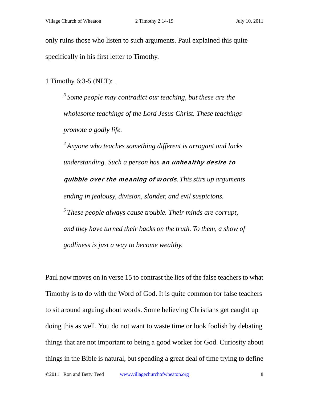only ruins those who listen to such arguments. Paul explained this quite specifically in his first letter to Timothy.

#### 1 Timothy 6:3-5 (NLT):

*3 Some people may contradict our teaching, but these are the wholesome teachings of the Lord Jesus Christ. These teachings promote a godly life.* 

*4 Anyone who teaches something different is arrogant and lacks understanding. Such a person has* an unhealthy desire to quibble over the meaning of words*. This stirs up arguments ending in jealousy, division, slander, and evil suspicions. 5 These people always cause trouble. Their minds are corrupt, and they have turned their backs on the truth. To them, a show of godliness is just a way to become wealthy.* 

Paul now moves on in verse 15 to contrast the lies of the false teachers to what Timothy is to do with the Word of God. It is quite common for false teachers to sit around arguing about words. Some believing Christians get caught up doing this as well. You do not want to waste time or look foolish by debating things that are not important to being a good worker for God. Curiosity about things in the Bible is natural, but spending a great deal of time trying to define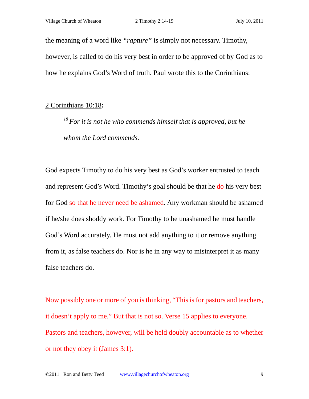the meaning of a word like *"rapture"* is simply not necessary. Timothy, however, is called to do his very best in order to be approved of by God as to how he explains God's Word of truth. Paul wrote this to the Corinthians:

#### 2 Corinthians 10:18**:**

*18 For it is not he who commends himself that is approved, but he whom the Lord commends.* 

God expects Timothy to do his very best as God's worker entrusted to teach and represent God's Word. Timothy's goal should be that he do his very best for God so that he never need be ashamed. Any workman should be ashamed if he/she does shoddy work. For Timothy to be unashamed he must handle God's Word accurately. He must not add anything to it or remove anything from it, as false teachers do. Nor is he in any way to misinterpret it as many false teachers do.

Now possibly one or more of you is thinking, "This is for pastors and teachers, it doesn't apply to me." But that is not so. Verse 15 applies to everyone. Pastors and teachers, however, will be held doubly accountable as to whether or not they obey it (James 3:1).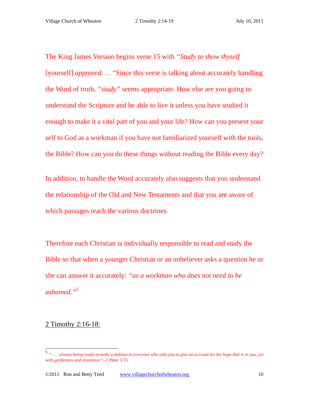The King James Version begins verse 15 with *"Study to show thyself*  [yourself] *approved. . . "*Since this verse is talking about accurately handling the Word of truth, *"study"* seems appropriate. How else are you going to understand the Scripture and be able to live it unless you have studied it enough to make it a vital part of you and your life? How can you present your self to God as a workman if you have not familiarized yourself with the tools, the Bible? How can you do these things without reading the Bible every day?

In addition, to handle the Word accurately also suggests that you understand the relationship of the Old and New Testaments and that you are aware of which passages teach the various doctrines.

Therefore each Christian is individually responsible to read and study the Bible so that when a younger Christian or an unbeliever asks a question he or she can answer it accurately: *"as a workman who does not need to be ashamed."<sup>5</sup>*

#### 2 Timothy 2:16-18:

<sup>5</sup> *" . . . always being ready to make a defense to everyone who asks you to give an account for the hope that is in you, yet with gentleness and reverence"--*1 Peter 3:15.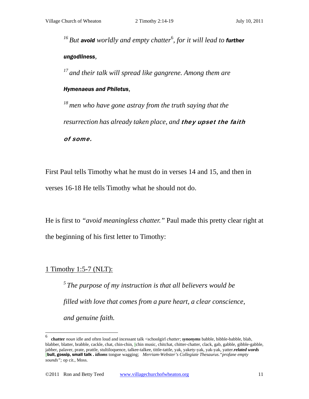<sup>16</sup> But avoid worldly and empty chatter<sup>6</sup>, for it will lead to further *ungodliness,* 

*17 and their talk will spread like gangrene. Among them are* 

#### *Hymenaeus and Philetus,*

*18 men who have gone astray from the truth saying that the resurrection has already taken place, and they upset the faith* of some.

First Paul tells Timothy what he must do in verses 14 and 15, and then in verses 16-18 He tells Timothy what he should not do.

He is first to *"avoid meaningless chatter."* Paul made this pretty clear right at the beginning of his first letter to Timothy:

#### 1 Timothy 1:5-7 (NLT):

 $\overline{a}$ 

*5 The purpose of my instruction is that all believers would be filled with love that comes from a pure heart, a clear conscience, and genuine faith.* 

<sup>6</sup> **chatter** *noun* idle and often loud and incessant talk <schoolgirl *chatter*; *synonyms* babble, bibble-babble, blab, blabber, blatter, brabble, cackle, chat, chin-chin, ||chin music, chitchat, chitter-chatter, clack, gab, gabble, gibble-gabble, jabber, palaver, prate, prattle, stultiloquence, talkee-talkee, tittle-tattle, yak, yakety-yak, yak-yak, yatter.*related words* ||bull, gossip, small talk . *idioms* tongue wagging; *Merriam-Webster's Collegiate Thesaurus."profane empty sounds";* op cit., Moss.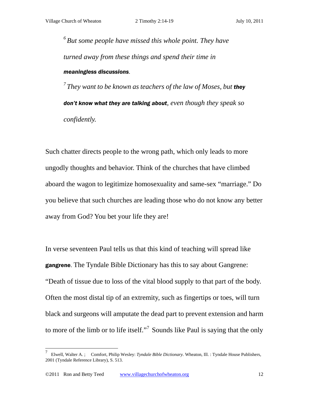*6 But some people have missed this whole point. They have turned away from these things and spend their time in meaningless discussions.* 

*7 They want to be known as teachers of the law of Moses, but they don't know what they are talking about, even though they speak so confidently.* 

Such chatter directs people to the wrong path, which only leads to more ungodly thoughts and behavior. Think of the churches that have climbed aboard the wagon to legitimize homosexuality and same-sex "marriage." Do you believe that such churches are leading those who do not know any better away from God? You bet your life they are!

In verse seventeen Paul tells us that this kind of teaching will spread like **gangrene**. The Tyndale Bible Dictionary has this to say about Gangrene: "Death of tissue due to loss of the vital blood supply to that part of the body. Often the most distal tip of an extremity, such as fingertips or toes, will turn black and surgeons will amputate the dead part to prevent extension and harm to more of the limb or to life itself."<sup>7</sup> Sounds like Paul is saying that the only

<sup>7</sup> Elwell, Walter A. ; Comfort, Philip Wesley: *Tyndale Bible Dictionary.* Wheaton, Ill. : Tyndale House Publishers, 2001 (Tyndale Reference Library), S. 513.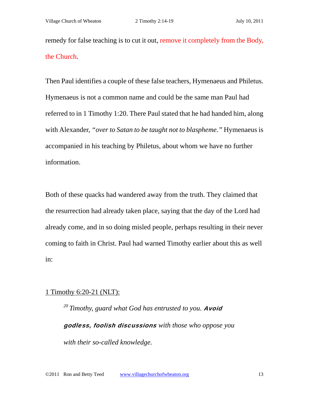remedy for false teaching is to cut it out, remove it completely from the Body, the Church.

Then Paul identifies a couple of these false teachers, Hymenaeus and Philetus. Hymenaeus is not a common name and could be the same man Paul had referred to in 1 Timothy 1:20. There Paul stated that he had handed him, along with Alexander, *"over to Satan to be taught not to blaspheme."* Hymenaeus is accompanied in his teaching by Philetus, about whom we have no further information.

Both of these quacks had wandered away from the truth. They claimed that the resurrection had already taken place, saying that the day of the Lord had already come, and in so doing misled people, perhaps resulting in their never coming to faith in Christ. Paul had warned Timothy earlier about this as well in:

## 1 Timothy 6:20-21 (NLT):

<sup>20</sup> Timothy, guard what God has entrusted to you. **Avoid** godless, foolish discussions *with those who oppose you with their so-called knowledge.*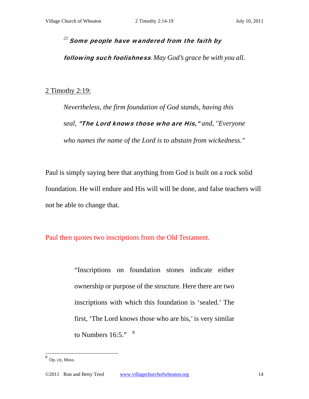# $^{21}$  Some people have wandered from the faith by

following such foolishness*. May God's grace be with you all.* 

#### 2 Timothy 2:19:

*Nevertheless, the firm foundation of God stands, having this seal,* "The Lord knows those who are His," *and, "Everyone who names the name of the Lord is to abstain from wickedness."* 

Paul is simply saying here that anything from God is built on a rock solid foundation. He will endure and His will will be done, and false teachers will not be able to change that.

Paul then quotes two inscriptions from the Old Testament.

"Inscriptions on foundation stones indicate either ownership or purpose of the structure. Here there are two inscriptions with which this foundation is 'sealed.' The first, 'The Lord knows those who are his,' is very similar to Numbers  $16:5."$   $8$ 

 8 Op. cit, Moss.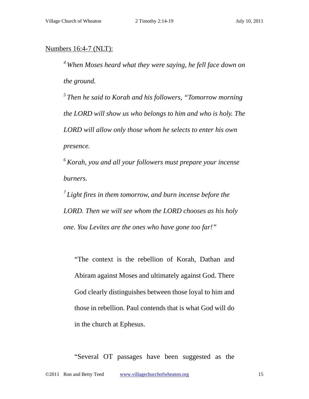## Numbers 16:4-7 (NLT):

*4 When Moses heard what they were saying, he fell face down on the ground.* 

*5 Then he said to Korah and his followers, "Tomorrow morning the LORD will show us who belongs to him and who is holy. The LORD will allow only those whom he selects to enter his own presence.* 

*6 Korah, you and all your followers must prepare your incense burners.* 

*7 Light fires in them tomorrow, and burn incense before the LORD. Then we will see whom the LORD chooses as his holy one. You Levites are the ones who have gone too far!"* 

"The context is the rebellion of Korah, Dathan and Abiram against Moses and ultimately against God. There God clearly distinguishes between those loyal to him and those in rebellion. Paul contends that is what God will do in the church at Ephesus.

"Several OT passages have been suggested as the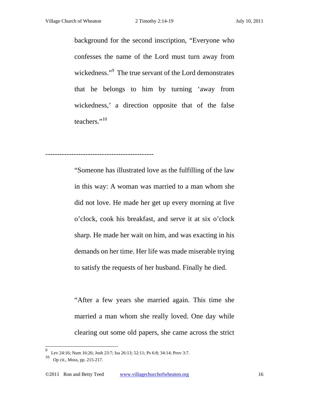background for the second inscription, "Everyone who confesses the name of the Lord must turn away from wickedness."<sup>9</sup> The true servant of the Lord demonstrates that he belongs to him by turning 'away from wickedness,' a direction opposite that of the false teachers."<sup>10</sup>

----------------------------------------------

"Someone has illustrated love as the fulfilling of the law in this way: A woman was married to a man whom she did not love. He made her get up every morning at five o'clock, cook his breakfast, and serve it at six o'clock sharp. He made her wait on him, and was exacting in his demands on her time. Her life was made miserable trying to satisfy the requests of her husband. Finally he died.

"After a few years she married again. This time she married a man whom she really loved. One day while clearing out some old papers, she came across the strict

<sup>9</sup> Lev 24:16; Num 16:26; Josh 23:7; Isa 26:13; 52:11; Ps 6:8; 34:14; Prov 3:7.

<sup>10</sup> Op cit., Moss, pp. 215-217.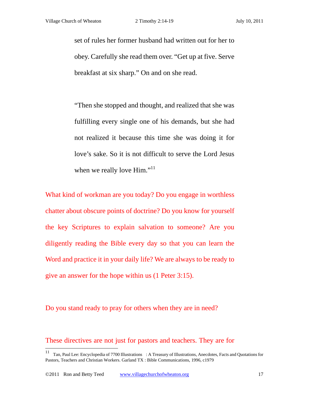set of rules her former husband had written out for her to obey. Carefully she read them over. "Get up at five. Serve breakfast at six sharp." On and on she read.

"Then she stopped and thought, and realized that she was fulfilling every single one of his demands, but she had not realized it because this time she was doing it for love's sake. So it is not difficult to serve the Lord Jesus when we really love Him."<sup>11</sup>

What kind of workman are you today? Do you engage in worthless chatter about obscure points of doctrine? Do you know for yourself the key Scriptures to explain salvation to someone? Are you diligently reading the Bible every day so that you can learn the Word and practice it in your daily life? We are always to be ready to give an answer for the hope within us (1 Peter 3:15).

Do you stand ready to pray for others when they are in need?

These directives are not just for pastors and teachers. They are for

<sup>11</sup> Tan, Paul Lee: Encyclopedia of 7700 Illustrations : A Treasury of Illustrations, Anecdotes, Facts and Quotations for Pastors, Teachers and Christian Workers. Garland TX : Bible Communications, 1996, c1979